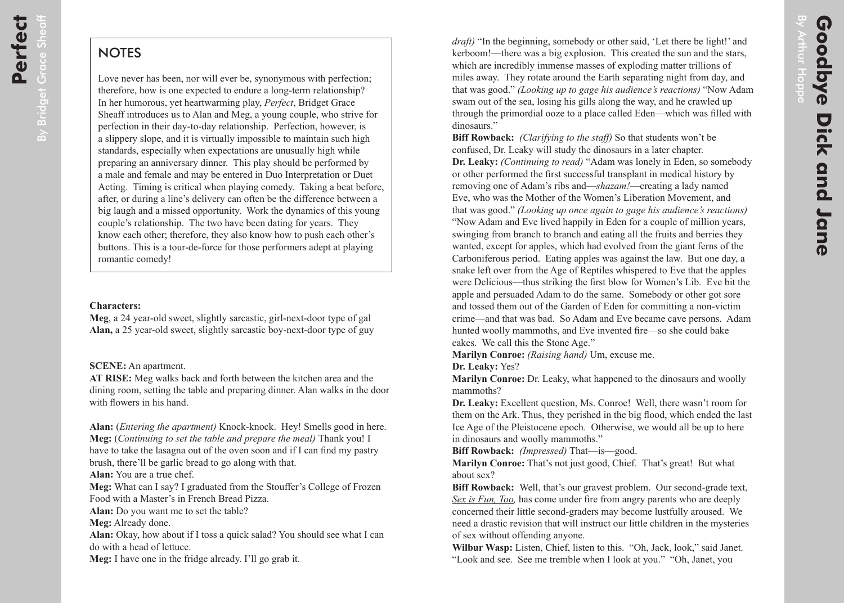## **NOTES**

Love never has been, nor will ever be, synonymous with perfection; therefore, how is one expected to endure a long-term relationship? In her humorous, yet heartwarming play, *Perfect*, Bridget Grace Sheaff introduces us to Alan and Meg, a young couple, who strive for perfection in their day-to-day relationship. Perfection, however, is a slippery slope, and it is virtually impossible to maintain such high standards, especially when expectations are unusually high while preparing an anniversary dinner. This play should be performed by a male and female and may be entered in Duo Interpretation or Duet Acting. Timing is critical when playing comedy. Taking a beat before, after, or during a line's delivery can often be the difference between a big laugh and a missed opportunity. Work the dynamics of this young couple's relationship. The two have been dating for years. They know each other; therefore, they also know how to push each other's buttons. This is a tour-de-force for those performers adept at playing romantic comedy!

## **Characters:**

**Meg**, a 24 year-old sweet, slightly sarcastic, girl-next-door type of gal **Alan,** a 25 year-old sweet, slightly sarcastic boy-next-door type of guy

**SCENE:** An apartment.

**AT RISE:** Meg walks back and forth between the kitchen area and the dining room, setting the table and preparing dinner. Alan walks in the door with flowers in his hand.

**Alan:** (*Entering the apartment)* Knock-knock. Hey! Smells good in here. **Meg:** (*Continuing to set the table and prepare the meal)* Thank you! I have to take the lasagna out of the oven soon and if I can find my pastry brush, there'll be garlic bread to go along with that.

**Alan:** You are a true chef.

**Meg:** What can I say? I graduated from the Stouffer's College of Frozen Food with a Master's in French Bread Pizza.

**Alan:** Do you want me to set the table?

**Meg:** Already done.

**Alan:** Okay, how about if I toss a quick salad? You should see what I can do with a head of lettuce.

**Meg:** I have one in the fridge already. I'll go grab it.